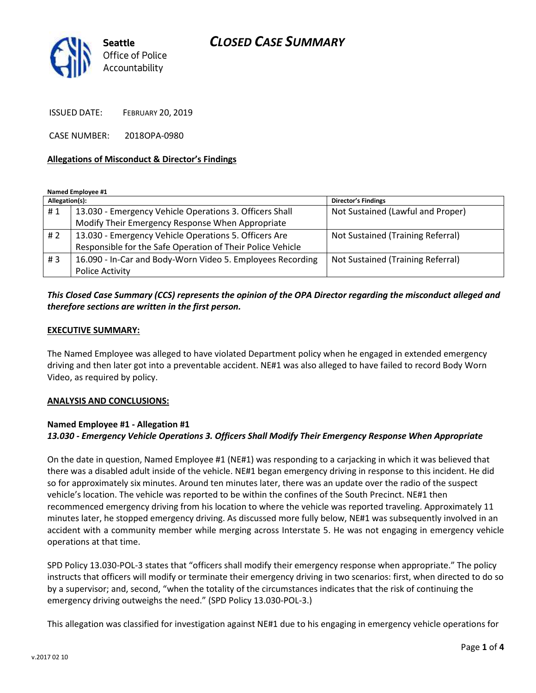# *CLOSED CASE SUMMARY*



ISSUED DATE: FEBRUARY 20, 2019

CASE NUMBER: 2018OPA-0980

#### **Allegations of Misconduct & Director's Findings**

**Named Employee #1**

| Allegation(s): |                                                            | <b>Director's Findings</b>        |
|----------------|------------------------------------------------------------|-----------------------------------|
| #1             | 13.030 - Emergency Vehicle Operations 3. Officers Shall    | Not Sustained (Lawful and Proper) |
|                | Modify Their Emergency Response When Appropriate           |                                   |
| # 2            | 13.030 - Emergency Vehicle Operations 5. Officers Are      | Not Sustained (Training Referral) |
|                | Responsible for the Safe Operation of Their Police Vehicle |                                   |
| #3             | 16.090 - In-Car and Body-Worn Video 5. Employees Recording | Not Sustained (Training Referral) |
|                | Police Activity                                            |                                   |

### *This Closed Case Summary (CCS) represents the opinion of the OPA Director regarding the misconduct alleged and therefore sections are written in the first person.*

#### **EXECUTIVE SUMMARY:**

The Named Employee was alleged to have violated Department policy when he engaged in extended emergency driving and then later got into a preventable accident. NE#1 was also alleged to have failed to record Body Worn Video, as required by policy.

#### **ANALYSIS AND CONCLUSIONS:**

### **Named Employee #1 - Allegation #1** *13.030 - Emergency Vehicle Operations 3. Officers Shall Modify Their Emergency Response When Appropriate*

On the date in question, Named Employee #1 (NE#1) was responding to a carjacking in which it was believed that there was a disabled adult inside of the vehicle. NE#1 began emergency driving in response to this incident. He did so for approximately six minutes. Around ten minutes later, there was an update over the radio of the suspect vehicle's location. The vehicle was reported to be within the confines of the South Precinct. NE#1 then recommenced emergency driving from his location to where the vehicle was reported traveling. Approximately 11 minutes later, he stopped emergency driving. As discussed more fully below, NE#1 was subsequently involved in an accident with a community member while merging across Interstate 5. He was not engaging in emergency vehicle operations at that time.

SPD Policy 13.030-POL-3 states that "officers shall modify their emergency response when appropriate." The policy instructs that officers will modify or terminate their emergency driving in two scenarios: first, when directed to do so by a supervisor; and, second, "when the totality of the circumstances indicates that the risk of continuing the emergency driving outweighs the need." (SPD Policy 13.030-POL-3.)

This allegation was classified for investigation against NE#1 due to his engaging in emergency vehicle operations for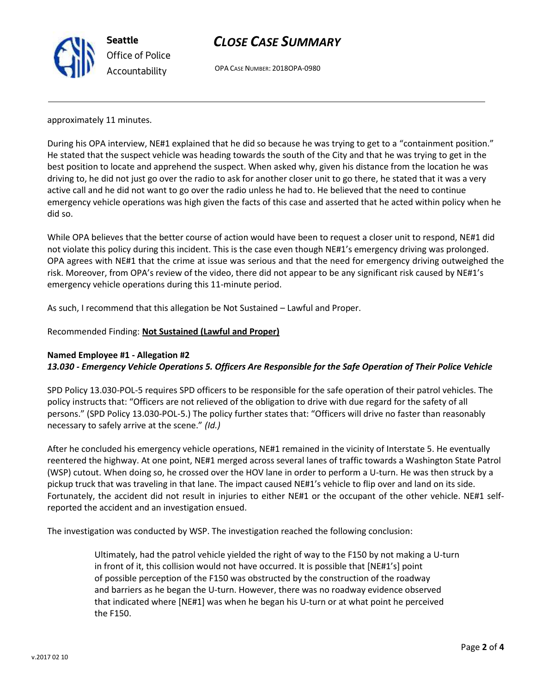

## *CLOSE CASE SUMMARY*

OPA CASE NUMBER: 2018OPA-0980

approximately 11 minutes.

During his OPA interview, NE#1 explained that he did so because he was trying to get to a "containment position." He stated that the suspect vehicle was heading towards the south of the City and that he was trying to get in the best position to locate and apprehend the suspect. When asked why, given his distance from the location he was driving to, he did not just go over the radio to ask for another closer unit to go there, he stated that it was a very active call and he did not want to go over the radio unless he had to. He believed that the need to continue emergency vehicle operations was high given the facts of this case and asserted that he acted within policy when he did so.

While OPA believes that the better course of action would have been to request a closer unit to respond, NE#1 did not violate this policy during this incident. This is the case even though NE#1's emergency driving was prolonged. OPA agrees with NE#1 that the crime at issue was serious and that the need for emergency driving outweighed the risk. Moreover, from OPA's review of the video, there did not appear to be any significant risk caused by NE#1's emergency vehicle operations during this 11-minute period.

As such, I recommend that this allegation be Not Sustained – Lawful and Proper.

Recommended Finding: **Not Sustained (Lawful and Proper)**

### **Named Employee #1 - Allegation #2**

*13.030 - Emergency Vehicle Operations 5. Officers Are Responsible for the Safe Operation of Their Police Vehicle*

SPD Policy 13.030-POL-5 requires SPD officers to be responsible for the safe operation of their patrol vehicles. The policy instructs that: "Officers are not relieved of the obligation to drive with due regard for the safety of all persons." (SPD Policy 13.030-POL-5.) The policy further states that: "Officers will drive no faster than reasonably necessary to safely arrive at the scene." *(Id.)*

After he concluded his emergency vehicle operations, NE#1 remained in the vicinity of Interstate 5. He eventually reentered the highway. At one point, NE#1 merged across several lanes of traffic towards a Washington State Patrol (WSP) cutout. When doing so, he crossed over the HOV lane in order to perform a U-turn. He was then struck by a pickup truck that was traveling in that lane. The impact caused NE#1's vehicle to flip over and land on its side. Fortunately, the accident did not result in injuries to either NE#1 or the occupant of the other vehicle. NE#1 selfreported the accident and an investigation ensued.

The investigation was conducted by WSP. The investigation reached the following conclusion:

Ultimately, had the patrol vehicle yielded the right of way to the F150 by not making a U-turn in front of it, this collision would not have occurred. It is possible that [NE#1's] point of possible perception of the F150 was obstructed by the construction of the roadway and barriers as he began the U-turn. However, there was no roadway evidence observed that indicated where [NE#1] was when he began his U-turn or at what point he perceived the F150.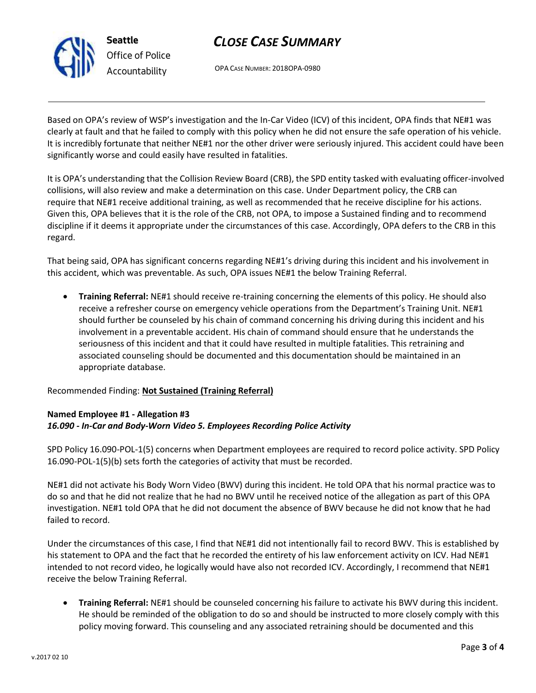

# *CLOSE CASE SUMMARY*

OPA CASE NUMBER: 2018OPA-0980

Based on OPA's review of WSP's investigation and the In-Car Video (ICV) of this incident, OPA finds that NE#1 was clearly at fault and that he failed to comply with this policy when he did not ensure the safe operation of his vehicle. It is incredibly fortunate that neither NE#1 nor the other driver were seriously injured. This accident could have been significantly worse and could easily have resulted in fatalities.

It is OPA's understanding that the Collision Review Board (CRB), the SPD entity tasked with evaluating officer-involved collisions, will also review and make a determination on this case. Under Department policy, the CRB can require that NE#1 receive additional training, as well as recommended that he receive discipline for his actions. Given this, OPA believes that it is the role of the CRB, not OPA, to impose a Sustained finding and to recommend discipline if it deems it appropriate under the circumstances of this case. Accordingly, OPA defers to the CRB in this regard.

That being said, OPA has significant concerns regarding NE#1's driving during this incident and his involvement in this accident, which was preventable. As such, OPA issues NE#1 the below Training Referral.

• **Training Referral:** NE#1 should receive re-training concerning the elements of this policy. He should also receive a refresher course on emergency vehicle operations from the Department's Training Unit. NE#1 should further be counseled by his chain of command concerning his driving during this incident and his involvement in a preventable accident. His chain of command should ensure that he understands the seriousness of this incident and that it could have resulted in multiple fatalities. This retraining and associated counseling should be documented and this documentation should be maintained in an appropriate database.

Recommended Finding: **Not Sustained (Training Referral)**

### **Named Employee #1 - Allegation #3** *16.090 - In-Car and Body-Worn Video 5. Employees Recording Police Activity*

SPD Policy 16.090-POL-1(5) concerns when Department employees are required to record police activity. SPD Policy 16.090-POL-1(5)(b) sets forth the categories of activity that must be recorded.

NE#1 did not activate his Body Worn Video (BWV) during this incident. He told OPA that his normal practice was to do so and that he did not realize that he had no BWV until he received notice of the allegation as part of this OPA investigation. NE#1 told OPA that he did not document the absence of BWV because he did not know that he had failed to record.

Under the circumstances of this case, I find that NE#1 did not intentionally fail to record BWV. This is established by his statement to OPA and the fact that he recorded the entirety of his law enforcement activity on ICV. Had NE#1 intended to not record video, he logically would have also not recorded ICV. Accordingly, I recommend that NE#1 receive the below Training Referral.

• **Training Referral:** NE#1 should be counseled concerning his failure to activate his BWV during this incident. He should be reminded of the obligation to do so and should be instructed to more closely comply with this policy moving forward. This counseling and any associated retraining should be documented and this